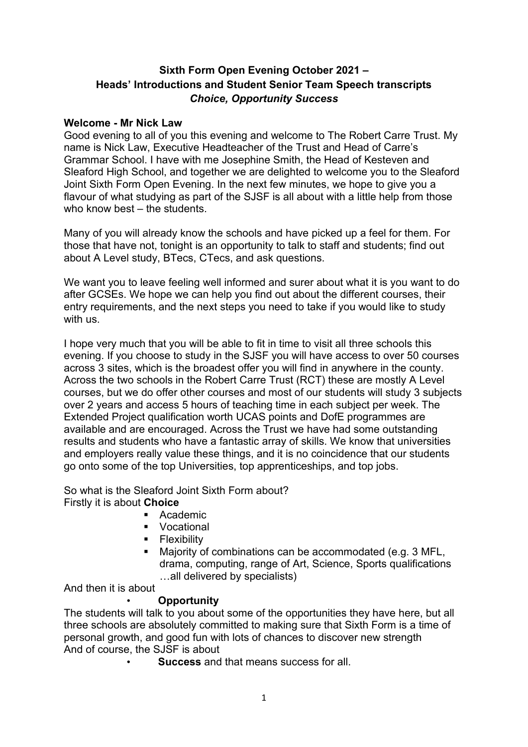# **Sixth Form Open Evening October 2021 – Heads' Introductions and Student Senior Team Speech transcripts** *Choice, Opportunity Success*

#### **Welcome - Mr Nick Law**

Good evening to all of you this evening and welcome to The Robert Carre Trust. My name is Nick Law, Executive Headteacher of the Trust and Head of Carre's Grammar School. I have with me Josephine Smith, the Head of Kesteven and Sleaford High School, and together we are delighted to welcome you to the Sleaford Joint Sixth Form Open Evening. In the next few minutes, we hope to give you a flavour of what studying as part of the SJSF is all about with a little help from those who know best – the students.

Many of you will already know the schools and have picked up a feel for them. For those that have not, tonight is an opportunity to talk to staff and students; find out about A Level study, BTecs, CTecs, and ask questions.

We want you to leave feeling well informed and surer about what it is you want to do after GCSEs. We hope we can help you find out about the different courses, their entry requirements, and the next steps you need to take if you would like to study with us.

I hope very much that you will be able to fit in time to visit all three schools this evening. If you choose to study in the SJSF you will have access to over 50 courses across 3 sites, which is the broadest offer you will find in anywhere in the county. Across the two schools in the Robert Carre Trust (RCT) these are mostly A Level courses, but we do offer other courses and most of our students will study 3 subjects over 2 years and access 5 hours of teaching time in each subject per week. The Extended Project qualification worth UCAS points and DofE programmes are available and are encouraged. Across the Trust we have had some outstanding results and students who have a fantastic array of skills. We know that universities and employers really value these things, and it is no coincidence that our students go onto some of the top Universities, top apprenticeships, and top jobs.

So what is the Sleaford Joint Sixth Form about? Firstly it is about **Choice**

- Academic
- **v** Vocational
- **Flexibility**
- Majority of combinations can be accommodated (e.g. 3 MFL, drama, computing, range of Art, Science, Sports qualifications …all delivered by specialists)

And then it is about

# • **Opportunity**

The students will talk to you about some of the opportunities they have here, but all three schools are absolutely committed to making sure that Sixth Form is a time of personal growth, and good fun with lots of chances to discover new strength And of course, the SJSF is about

• **Success** and that means success for all.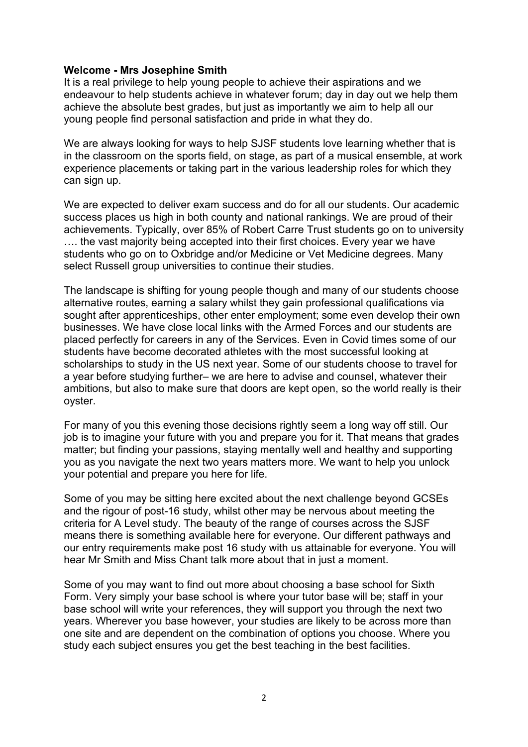#### **Welcome - Mrs Josephine Smith**

It is a real privilege to help young people to achieve their aspirations and we endeavour to help students achieve in whatever forum; day in day out we help them achieve the absolute best grades, but just as importantly we aim to help all our young people find personal satisfaction and pride in what they do.

We are always looking for ways to help SJSF students love learning whether that is in the classroom on the sports field, on stage, as part of a musical ensemble, at work experience placements or taking part in the various leadership roles for which they can sign up.

We are expected to deliver exam success and do for all our students. Our academic success places us high in both county and national rankings. We are proud of their achievements. Typically, over 85% of Robert Carre Trust students go on to university .... the vast majority being accepted into their first choices. Every year we have students who go on to Oxbridge and/or Medicine or Vet Medicine degrees. Many select Russell group universities to continue their studies.

The landscape is shifting for young people though and many of our students choose alternative routes, earning a salary whilst they gain professional qualifications via sought after apprenticeships, other enter employment; some even develop their own businesses. We have close local links with the Armed Forces and our students are placed perfectly for careers in any of the Services. Even in Covid times some of our students have become decorated athletes with the most successful looking at scholarships to study in the US next year. Some of our students choose to travel for a year before studying further– we are here to advise and counsel, whatever their ambitions, but also to make sure that doors are kept open, so the world really is their oyster.

For many of you this evening those decisions rightly seem a long way off still. Our job is to imagine your future with you and prepare you for it. That means that grades matter; but finding your passions, staying mentally well and healthy and supporting you as you navigate the next two years matters more. We want to help you unlock your potential and prepare you here for life.

Some of you may be sitting here excited about the next challenge beyond GCSEs and the rigour of post-16 study, whilst other may be nervous about meeting the criteria for A Level study. The beauty of the range of courses across the SJSF means there is something available here for everyone. Our different pathways and our entry requirements make post 16 study with us attainable for everyone. You will hear Mr Smith and Miss Chant talk more about that in just a moment.

Some of you may want to find out more about choosing a base school for Sixth Form. Very simply your base school is where your tutor base will be; staff in your base school will write your references, they will support you through the next two years. Wherever you base however, your studies are likely to be across more than one site and are dependent on the combination of options you choose. Where you study each subject ensures you get the best teaching in the best facilities.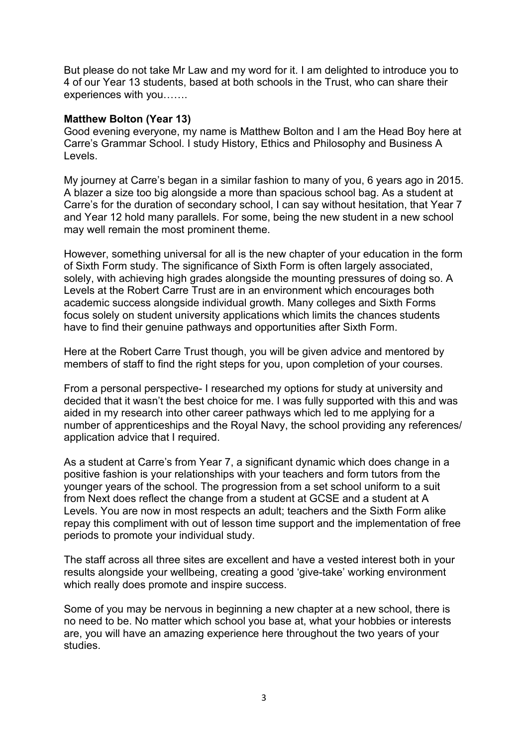But please do not take Mr Law and my word for it. I am delighted to introduce you to 4 of our Year 13 students, based at both schools in the Trust, who can share their experiences with you…….

#### **Matthew Bolton (Year 13)**

Good evening everyone, my name is Matthew Bolton and I am the Head Boy here at Carre's Grammar School. I study History, Ethics and Philosophy and Business A Levels.

My journey at Carre's began in a similar fashion to many of you, 6 years ago in 2015. A blazer a size too big alongside a more than spacious school bag. As a student at Carre's for the duration of secondary school, I can say without hesitation, that Year 7 and Year 12 hold many parallels. For some, being the new student in a new school may well remain the most prominent theme.

However, something universal for all is the new chapter of your education in the form of Sixth Form study. The significance of Sixth Form is often largely associated, solely, with achieving high grades alongside the mounting pressures of doing so. A Levels at the Robert Carre Trust are in an environment which encourages both academic success alongside individual growth. Many colleges and Sixth Forms focus solely on student university applications which limits the chances students have to find their genuine pathways and opportunities after Sixth Form.

Here at the Robert Carre Trust though, you will be given advice and mentored by members of staff to find the right steps for you, upon completion of your courses.

From a personal perspective- I researched my options for study at university and decided that it wasn't the best choice for me. I was fully supported with this and was aided in my research into other career pathways which led to me applying for a number of apprenticeships and the Royal Navy, the school providing any references/ application advice that I required.

As a student at Carre's from Year 7, a significant dynamic which does change in a positive fashion is your relationships with your teachers and form tutors from the younger years of the school. The progression from a set school uniform to a suit from Next does reflect the change from a student at GCSE and a student at A Levels. You are now in most respects an adult; teachers and the Sixth Form alike repay this compliment with out of lesson time support and the implementation of free periods to promote your individual study.

The staff across all three sites are excellent and have a vested interest both in your results alongside your wellbeing, creating a good 'give-take' working environment which really does promote and inspire success.

Some of you may be nervous in beginning a new chapter at a new school, there is no need to be. No matter which school you base at, what your hobbies or interests are, you will have an amazing experience here throughout the two years of your studies.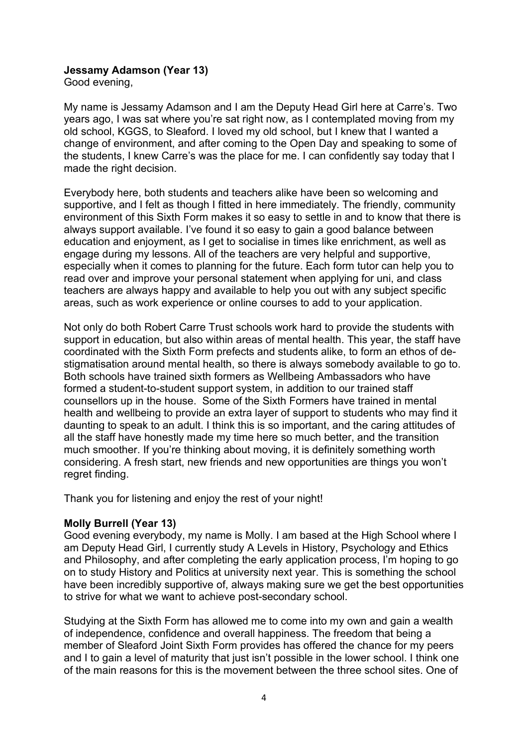# **Jessamy Adamson (Year 13)**

Good evening,

My name is Jessamy Adamson and I am the Deputy Head Girl here at Carre's. Two years ago, I was sat where you're sat right now, as I contemplated moving from my old school, KGGS, to Sleaford. I loved my old school, but I knew that I wanted a change of environment, and after coming to the Open Day and speaking to some of the students, I knew Carre's was the place for me. I can confidently say today that I made the right decision.

Everybody here, both students and teachers alike have been so welcoming and supportive, and I felt as though I fitted in here immediately. The friendly, community environment of this Sixth Form makes it so easy to settle in and to know that there is always support available. I've found it so easy to gain a good balance between education and enjoyment, as I get to socialise in times like enrichment, as well as engage during my lessons. All of the teachers are very helpful and supportive, especially when it comes to planning for the future. Each form tutor can help you to read over and improve your personal statement when applying for uni, and class teachers are always happy and available to help you out with any subject specific areas, such as work experience or online courses to add to your application.

Not only do both Robert Carre Trust schools work hard to provide the students with support in education, but also within areas of mental health. This year, the staff have coordinated with the Sixth Form prefects and students alike, to form an ethos of destigmatisation around mental health, so there is always somebody available to go to. Both schools have trained sixth formers as Wellbeing Ambassadors who have formed a student-to-student support system, in addition to our trained staff counsellors up in the house. Some of the Sixth Formers have trained in mental health and wellbeing to provide an extra layer of support to students who may find it daunting to speak to an adult. I think this is so important, and the caring attitudes of all the staff have honestly made my time here so much better, and the transition much smoother. If you're thinking about moving, it is definitely something worth considering. A fresh start, new friends and new opportunities are things you won't regret finding.

Thank you for listening and enjoy the rest of your night!

# **Molly Burrell (Year 13)**

Good evening everybody, my name is Molly. I am based at the High School where I am Deputy Head Girl, I currently study A Levels in History, Psychology and Ethics and Philosophy, and after completing the early application process, I'm hoping to go on to study History and Politics at university next year. This is something the school have been incredibly supportive of, always making sure we get the best opportunities to strive for what we want to achieve post-secondary school.

Studying at the Sixth Form has allowed me to come into my own and gain a wealth of independence, confidence and overall happiness. The freedom that being a member of Sleaford Joint Sixth Form provides has offered the chance for my peers and I to gain a level of maturity that just isn't possible in the lower school. I think one of the main reasons for this is the movement between the three school sites. One of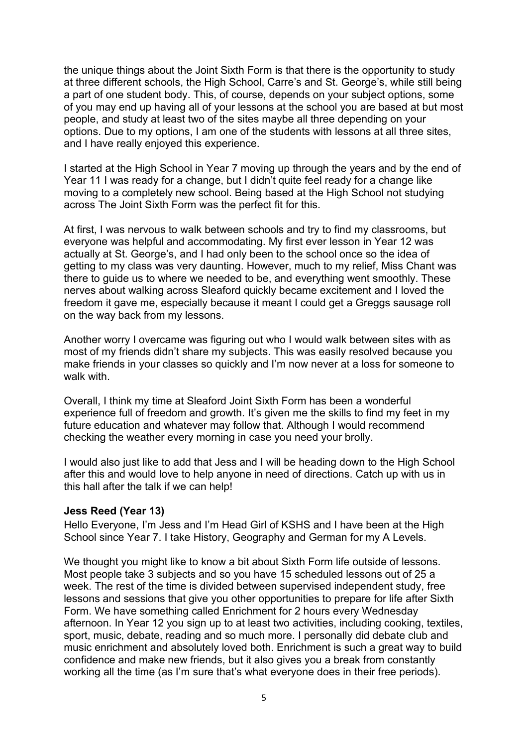the unique things about the Joint Sixth Form is that there is the opportunity to study at three different schools, the High School, Carre's and St. George's, while still being a part of one student body. This, of course, depends on your subject options, some of you may end up having all of your lessons at the school you are based at but most people, and study at least two of the sites maybe all three depending on your options. Due to my options, I am one of the students with lessons at all three sites, and I have really enjoyed this experience.

I started at the High School in Year 7 moving up through the years and by the end of Year 11 I was ready for a change, but I didn't quite feel ready for a change like moving to a completely new school. Being based at the High School not studying across The Joint Sixth Form was the perfect fit for this.

At first, I was nervous to walk between schools and try to find my classrooms, but everyone was helpful and accommodating. My first ever lesson in Year 12 was actually at St. George's, and I had only been to the school once so the idea of getting to my class was very daunting. However, much to my relief, Miss Chant was there to guide us to where we needed to be, and everything went smoothly. These nerves about walking across Sleaford quickly became excitement and I loved the freedom it gave me, especially because it meant I could get a Greggs sausage roll on the way back from my lessons.

Another worry I overcame was figuring out who I would walk between sites with as most of my friends didn't share my subjects. This was easily resolved because you make friends in your classes so quickly and I'm now never at a loss for someone to walk with

Overall, I think my time at Sleaford Joint Sixth Form has been a wonderful experience full of freedom and growth. It's given me the skills to find my feet in my future education and whatever may follow that. Although I would recommend checking the weather every morning in case you need your brolly.

I would also just like to add that Jess and I will be heading down to the High School after this and would love to help anyone in need of directions. Catch up with us in this hall after the talk if we can help!

# **Jess Reed (Year 13)**

Hello Everyone, I'm Jess and I'm Head Girl of KSHS and I have been at the High School since Year 7. I take History, Geography and German for my A Levels.

We thought you might like to know a bit about Sixth Form life outside of lessons. Most people take 3 subjects and so you have 15 scheduled lessons out of 25 a week. The rest of the time is divided between supervised independent study, free lessons and sessions that give you other opportunities to prepare for life after Sixth Form. We have something called Enrichment for 2 hours every Wednesday afternoon. In Year 12 you sign up to at least two activities, including cooking, textiles, sport, music, debate, reading and so much more. I personally did debate club and music enrichment and absolutely loved both. Enrichment is such a great way to build confidence and make new friends, but it also gives you a break from constantly working all the time (as I'm sure that's what everyone does in their free periods).